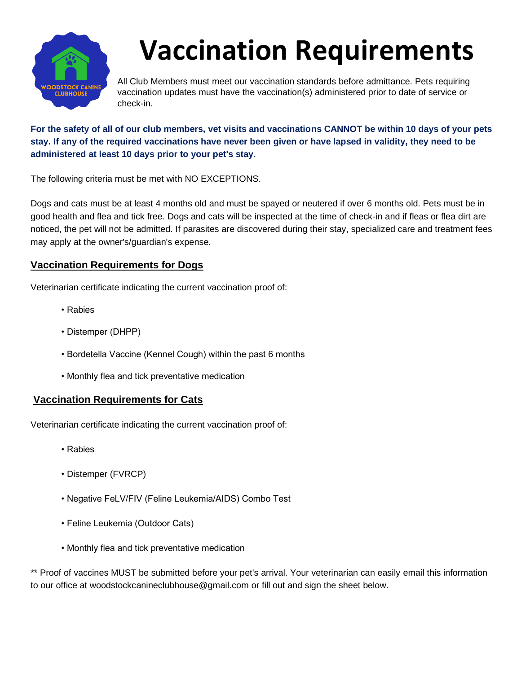

## **Vaccination Requirements**

All Club Members must meet our vaccination standards before admittance. Pets requiring vaccination updates must have the vaccination(s) administered prior to date of service or check-in.

**For the safety of all of our club members, vet visits and vaccinations CANNOT be within 10 days of your pets stay. If any of the required vaccinations have never been given or have lapsed in validity, they need to be administered at least 10 days prior to your pet's stay.**

The following criteria must be met with NO EXCEPTIONS.

Dogs and cats must be at least 4 months old and must be spayed or neutered if over 6 months old. Pets must be in good health and flea and tick free. Dogs and cats will be inspected at the time of check-in and if fleas or flea dirt are noticed, the pet will not be admitted. If parasites are discovered during their stay, specialized care and treatment fees may apply at the owner's/guardian's expense.

## **Vaccination Requirements for Dogs**

Veterinarian certificate indicating the current vaccination proof of:

- Rabies
- Distemper (DHPP)
- Bordetella Vaccine (Kennel Cough) within the past 6 months
- Monthly flea and tick preventative medication

## **Vaccination Requirements for Cats**

Veterinarian certificate indicating the current vaccination proof of:

- Rabies
- Distemper (FVRCP)
- Negative FeLV/FIV (Feline Leukemia/AIDS) Combo Test
- Feline Leukemia (Outdoor Cats)
- Monthly flea and tick preventative medication

\*\* Proof of vaccines MUST be submitted before your pet's arrival. Your veterinarian can easily email this information to our office at woodstockcanineclubhouse@gmail.com or fill out and sign the sheet below.